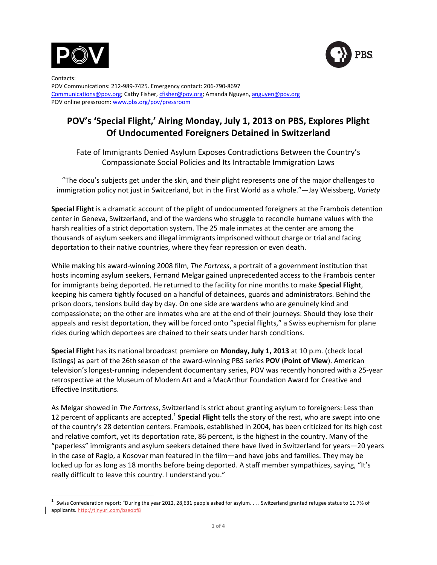



Contacts: POV Communications: 212-989-7425. Emergency contact: 206-790-8697 Communications@pov.org; Cathy Fisher, cfisher@pov.org; Amanda Nguyen, anguyen@pov.org POV online pressroom: www.pbs.org/pov/pressroom

# POV's 'Special Flight,' Airing Monday, July 1, 2013 on PBS, Explores Plight **Of Undocumented Foreigners Detained in Switzerland**

Fate of Immigrants Denied Asylum Exposes Contradictions Between the Country's Compassionate Social Policies and Its Intractable Immigration Laws

"The docu's subjects get under the skin, and their plight represents one of the major challenges to immigration policy not just in Switzerland, but in the First World as a whole."—Jay Weissberg, Variety

**Special Flight** is a dramatic account of the plight of undocumented foreigners at the Frambois detention center in Geneva, Switzerland, and of the wardens who struggle to reconcile humane values with the harsh realities of a strict deportation system. The 25 male inmates at the center are among the thousands of asylum seekers and illegal immigrants imprisoned without charge or trial and facing deportation to their native countries, where they fear repression or even death.

While making his award-winning 2008 film, *The Fortress*, a portrait of a government institution that hosts incoming asylum seekers, Fernand Melgar gained unprecedented access to the Frambois center for immigrants being deported. He returned to the facility for nine months to make Special Flight, keeping his camera tightly focused on a handful of detainees, guards and administrators. Behind the prison doors, tensions build day by day. On one side are wardens who are genuinely kind and compassionate; on the other are inmates who are at the end of their journeys: Should they lose their appeals and resist deportation, they will be forced onto "special flights," a Swiss euphemism for plane rides during which deportees are chained to their seats under harsh conditions.

**Special Flight** has its national broadcast premiere on **Monday, July 1, 2013** at 10 p.m. (check local listings) as part of the 26th season of the award-winning PBS series POV (Point of View). American television's longest-running independent documentary series, POV was recently honored with a 25-year retrospective at the Museum of Modern Art and a MacArthur Foundation Award for Creative and Effective Institutions.

As Melgar showed in *The Fortress*, Switzerland is strict about granting asylum to foreigners: Less than 12 percent of applicants are accepted.<sup>1</sup> Special Flight tells the story of the rest, who are swept into one of the country's 28 detention centers. Frambois, established in 2004, has been criticized for its high cost and relative comfort, yet its deportation rate, 86 percent, is the highest in the country. Many of the "paperless" immigrants and asylum seekers detained there have lived in Switzerland for years—20 years in the case of Ragip, a Kosovar man featured in the film—and have jobs and families. They may be locked up for as long as 18 months before being deported. A staff member sympathizes, saying, "It's really difficult to leave this country. I understand you."

<sup>&</sup>lt;sup>1</sup> Swiss Confederation report: "During the year 2012, 28,631 people asked for asylum. . . . Switzerland granted refugee status to 11.7% of applicants. http://tinyurl.com/bseobf8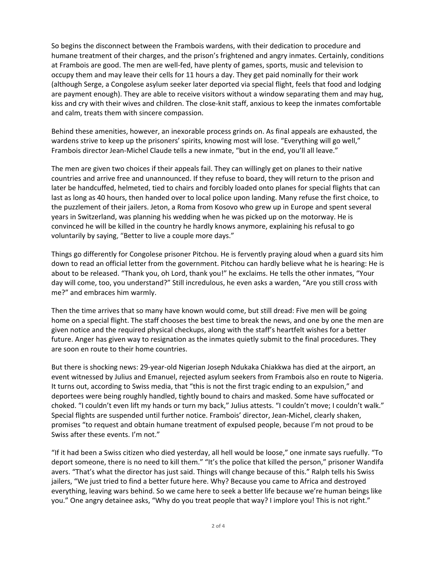So begins the disconnect between the Frambois wardens, with their dedication to procedure and humane treatment of their charges, and the prison's frightened and angry inmates. Certainly, conditions at Frambois are good. The men are well-fed, have plenty of games, sports, music and television to occupy them and may leave their cells for 11 hours a day. They get paid nominally for their work (although Serge, a Congolese asylum seeker later deported via special flight, feels that food and lodging are payment enough). They are able to receive visitors without a window separating them and may hug, kiss and cry with their wives and children. The close-knit staff, anxious to keep the inmates comfortable and calm, treats them with sincere compassion.

Behind these amenities, however, an inexorable process grinds on. As final appeals are exhausted, the wardens strive to keep up the prisoners' spirits, knowing most will lose. "Everything will go well," Frambois director Jean-Michel Claude tells a new inmate, "but in the end, you'll all leave."

The men are given two choices if their appeals fail. They can willingly get on planes to their native countries and arrive free and unannounced. If they refuse to board, they will return to the prison and later be handcuffed, helmeted, tied to chairs and forcibly loaded onto planes for special flights that can last as long as 40 hours, then handed over to local police upon landing. Many refuse the first choice, to the puzzlement of their jailers. Jeton, a Roma from Kosovo who grew up in Europe and spent several years in Switzerland, was planning his wedding when he was picked up on the motorway. He is convinced he will be killed in the country he hardly knows anymore, explaining his refusal to go voluntarily by saying, "Better to live a couple more days."

Things go differently for Congolese prisoner Pitchou. He is fervently praying aloud when a guard sits him down to read an official letter from the government. Pitchou can hardly believe what he is hearing: He is about to be released. "Thank you, oh Lord, thank you!" he exclaims. He tells the other inmates, "Your day will come, too, you understand?" Still incredulous, he even asks a warden, "Are you still cross with me?" and embraces him warmly.

Then the time arrives that so many have known would come, but still dread: Five men will be going home on a special flight. The staff chooses the best time to break the news, and one by one the men are given notice and the required physical checkups, along with the staff's heartfelt wishes for a better future. Anger has given way to resignation as the inmates quietly submit to the final procedures. They are soon en route to their home countries.

But there is shocking news: 29-year-old Nigerian Joseph Ndukaka Chiakkwa has died at the airport, an event witnessed by Julius and Emanuel, rejected asylum seekers from Frambois also en route to Nigeria. It turns out, according to Swiss media, that "this is not the first tragic ending to an expulsion," and deportees were being roughly handled, tightly bound to chairs and masked. Some have suffocated or choked. "I couldn't even lift my hands or turn my back," Julius attests. "I couldn't move; I couldn't walk." Special flights are suspended until further notice. Frambois' director, Jean-Michel, clearly shaken, promises "to request and obtain humane treatment of expulsed people, because I'm not proud to be Swiss after these events. I'm not."

"If it had been a Swiss citizen who died yesterday, all hell would be loose," one inmate says ruefully. "To deport someone, there is no need to kill them." "It's the police that killed the person," prisoner Wandifa avers. "That's what the director has just said. Things will change because of this." Ralph tells his Swiss jailers, "We just tried to find a better future here. Why? Because you came to Africa and destroyed everything, leaving wars behind. So we came here to seek a better life because we're human beings like you." One angry detainee asks, "Why do you treat people that way? I implore you! This is not right."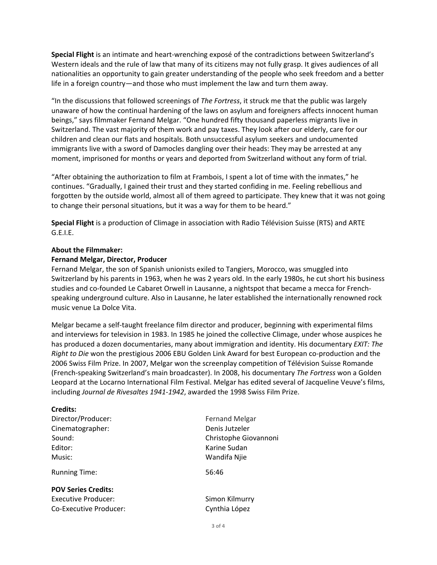Special Flight is an intimate and heart-wrenching exposé of the contradictions between Switzerland's Western ideals and the rule of law that many of its citizens may not fully grasp. It gives audiences of all nationalities an opportunity to gain greater understanding of the people who seek freedom and a better life in a foreign country—and those who must implement the law and turn them away.

"In the discussions that followed screenings of *The Fortress*, it struck me that the public was largely unaware of how the continual hardening of the laws on asylum and foreigners affects innocent human beings," says filmmaker Fernand Melgar. "One hundred fifty thousand paperless migrants live in Switzerland. The vast majority of them work and pay taxes. They look after our elderly, care for our children and clean our flats and hospitals. Both unsuccessful asylum seekers and undocumented immigrants live with a sword of Damocles dangling over their heads: They may be arrested at any moment, imprisoned for months or years and deported from Switzerland without any form of trial.

"After obtaining the authorization to film at Frambois, I spent a lot of time with the inmates," he continues. "Gradually, I gained their trust and they started confiding in me. Feeling rebellious and forgotten by the outside world, almost all of them agreed to participate. They knew that it was not going to change their personal situations, but it was a way for them to be heard."

Special Flight is a production of Climage in association with Radio Télévision Suisse (RTS) and ARTE  $G.E.I.E.$ 

# **About the Filmmaker:**

# **Fernand Melgar, Director, Producer**

Fernand Melgar, the son of Spanish unionists exiled to Tangiers, Morocco, was smuggled into Switzerland by his parents in 1963, when he was 2 years old. In the early 1980s, he cut short his business studies and co-founded Le Cabaret Orwell in Lausanne, a nightspot that became a mecca for Frenchspeaking underground culture. Also in Lausanne, he later established the internationally renowned rock music venue La Dolce Vita.

Melgar became a self-taught freelance film director and producer, beginning with experimental films and interviews for television in 1983. In 1985 he joined the collective Climage, under whose auspices he has produced a dozen documentaries, many about immigration and identity. His documentary *EXIT: The Right to Die* won the prestigious 2006 EBU Golden Link Award for best European co-production and the 2006 Swiss Film Prize. In 2007, Melgar won the screenplay competition of Télévision Suisse Romande (French-speaking Switzerland's main broadcaster). In 2008, his documentary *The Fortress* won a Golden Leopard at the Locarno International Film Festival. Melgar has edited several of Jacqueline Veuve's films, including *Journal de Rivesaltes 1941-1942*, awarded the 1998 Swiss Film Prize.

# **Credits:**

| Director/Producer: |
|--------------------|
| Cinematographer:   |
| Sound:             |
| Editor:            |
| Music:             |

Running Time: 56:46

# **POV Series Credits:**

Executive Producer: Simon Kilmurry Co-Executive Producer: Co-Executive Producer:

Fernand Melgar Denis Jutzeler Christophe Giovannoni Karine Sudan Wandifa Njie